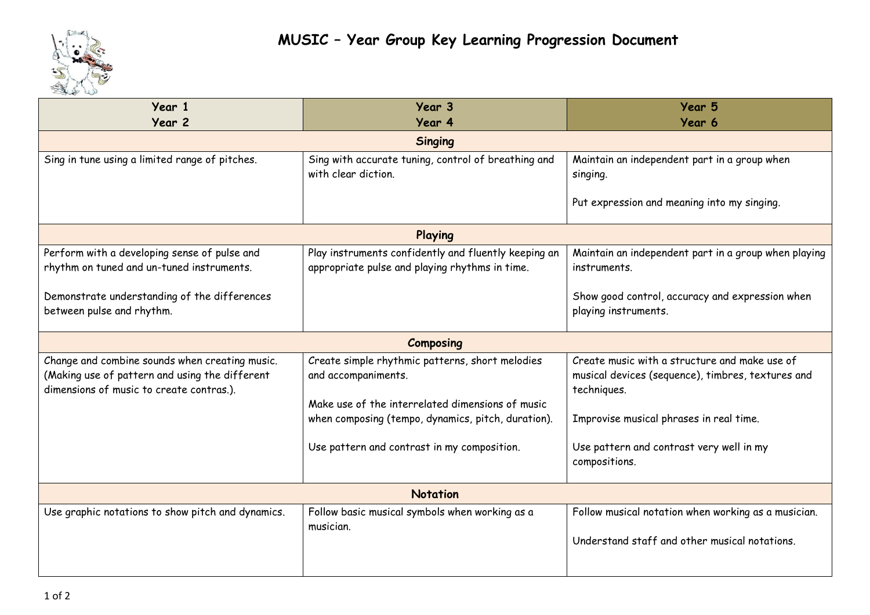

| Year 1<br>Year 2                                                                                                                             | Year 3<br>Year 4                                                                                                           | Year 5<br>Year 6                                                                                                  |  |
|----------------------------------------------------------------------------------------------------------------------------------------------|----------------------------------------------------------------------------------------------------------------------------|-------------------------------------------------------------------------------------------------------------------|--|
| <b>Singing</b>                                                                                                                               |                                                                                                                            |                                                                                                                   |  |
| Sing in tune using a limited range of pitches.                                                                                               | Sing with accurate tuning, control of breathing and<br>with clear diction.                                                 | Maintain an independent part in a group when<br>singing.                                                          |  |
|                                                                                                                                              |                                                                                                                            | Put expression and meaning into my singing.                                                                       |  |
| Playing                                                                                                                                      |                                                                                                                            |                                                                                                                   |  |
| Perform with a developing sense of pulse and<br>rhythm on tuned and un-tuned instruments.                                                    | Play instruments confidently and fluently keeping an<br>appropriate pulse and playing rhythms in time.                     | Maintain an independent part in a group when playing<br>instruments.                                              |  |
| Demonstrate understanding of the differences<br>between pulse and rhythm.                                                                    |                                                                                                                            | Show good control, accuracy and expression when<br>playing instruments.                                           |  |
| <b>Composing</b>                                                                                                                             |                                                                                                                            |                                                                                                                   |  |
| Change and combine sounds when creating music.<br>(Making use of pattern and using the different<br>dimensions of music to create contras.). | Create simple rhythmic patterns, short melodies<br>and accompaniments.<br>Make use of the interrelated dimensions of music | Create music with a structure and make use of<br>musical devices (sequence), timbres, textures and<br>techniques. |  |
|                                                                                                                                              | when composing (tempo, dynamics, pitch, duration).                                                                         | Improvise musical phrases in real time.                                                                           |  |
|                                                                                                                                              | Use pattern and contrast in my composition.                                                                                | Use pattern and contrast very well in my<br>compositions.                                                         |  |
| <b>Notation</b>                                                                                                                              |                                                                                                                            |                                                                                                                   |  |
| Use graphic notations to show pitch and dynamics.                                                                                            | Follow basic musical symbols when working as a<br>musician.                                                                | Follow musical notation when working as a musician.<br>Understand staff and other musical notations.              |  |
|                                                                                                                                              |                                                                                                                            |                                                                                                                   |  |